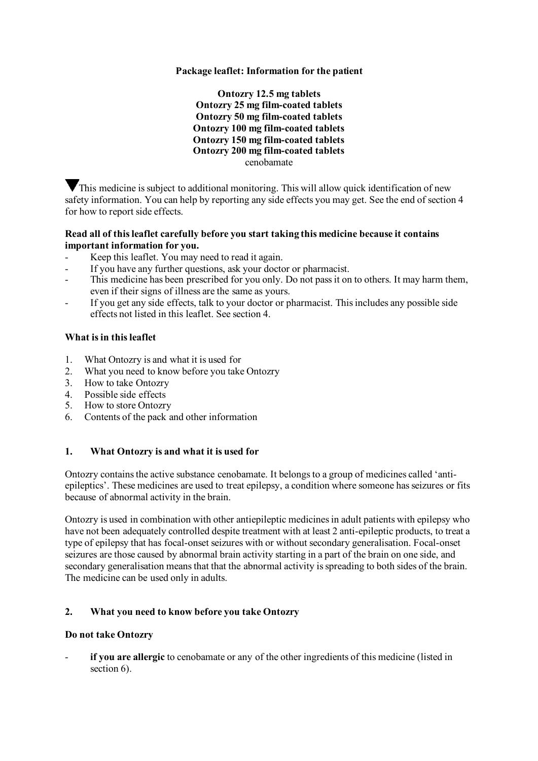# **Package leaflet: Information for the patient**

**Ontozry 12.5 mg tablets Ontozry 25 mg film-coated tablets Ontozry 50 mg film-coated tablets Ontozry 100 mg film-coated tablets Ontozry 150 mg film-coated tablets Ontozry 200 mg film-coated tablets** cenobamate

This medicine is subject to additional monitoring. This will allow quick identification of new safety information. You can help by reporting any side effects you may get. See the end of section 4 for how to report side effects.

#### **Read all of this leaflet carefully before you start taking this medicine because it contains important information for you.**

- Keep this leaflet. You may need to read it again.
- If you have any further questions, ask your doctor or pharmacist.
- This medicine has been prescribed for you only. Do not pass it on to others. It may harm them, even if their signs of illness are the same as yours.
- If you get any side effects, talk to your doctor or pharmacist. This includes any possible side effects not listed in this leaflet. See section 4.

## **What is in this leaflet**

- 1. What Ontozry is and what it is used for
- 2. What you need to know before you take Ontozry
- 3. How to take Ontozry
- 4. Possible side effects
- 5. How to store Ontozry
- 6. Contents of the pack and other information

# **1. What Ontozry is and what it is used for**

Ontozry contains the active substance cenobamate. It belongs to a group of medicines called 'antiepileptics'. These medicines are used to treat epilepsy, a condition where someone has seizures or fits because of abnormal activity in the brain.

Ontozry is used in combination with other antiepileptic medicines in adult patients with epilepsy who have not been adequately controlled despite treatment with at least 2 anti-epileptic products, to treat a type of epilepsy that has focal-onset seizures with or without secondary generalisation. Focal-onset seizures are those caused by abnormal brain activity starting in a part of the brain on one side, and secondary generalisation means that that the abnormal activity is spreading to both sides of the brain. The medicine can be used only in adults.

# **2. What you need to know before you take Ontozry**

#### **Do not take Ontozry**

if you are allergic to cenobamate or any of the other ingredients of this medicine (listed in section 6).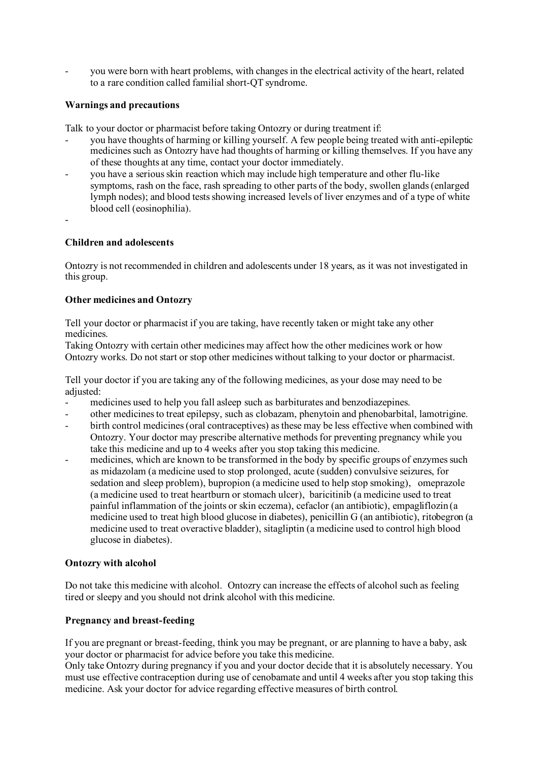- you were born with heart problems, with changes in the electrical activity of the heart, related to a rare condition called familial short-QT syndrome.

# **Warnings and precautions**

Talk to your doctor or pharmacist before taking Ontozry or during treatment if:

- you have thoughts of harming or killing yourself. A few people being treated with anti-epileptic medicines such as Ontozry have had thoughts of harming or killing themselves. If you have any of these thoughts at any time, contact your doctor immediately.
- you have a serious skin reaction which may include high temperature and other flu-like symptoms, rash on the face, rash spreading to other parts of the body, swollen glands (enlarged lymph nodes); and blood tests showing increased levels of liver enzymes and of a type of white blood cell (eosinophilia).
- -

## **Children and adolescents**

Ontozry is not recommended in children and adolescents under 18 years, as it was not investigated in this group.

## **Other medicines and Ontozry**

Tell your doctor or pharmacist if you are taking, have recently taken or might take any other medicines.

Taking Ontozry with certain other medicines may affect how the other medicines work or how Ontozry works. Do not start or stop other medicines without talking to your doctor or pharmacist.

Tell your doctor if you are taking any of the following medicines, as your dose may need to be adjusted:

- medicines used to help you fall asleep such as barbiturates and benzodiazepines.
- other medicines to treat epilepsy, such as clobazam, phenytoin and phenobarbital, lamotrigine.
- birth control medicines (oral contraceptives) as these may be less effective when combined with Ontozry. Your doctor may prescribe alternative methods for preventing pregnancy while you take this medicine and up to 4 weeks after you stop taking this medicine.
- medicines, which are known to be transformed in the body by specific groups of enzymes such as midazolam (a medicine used to stop prolonged, acute (sudden) convulsive seizures, for sedation and sleep problem), bupropion (a medicine used to help stop smoking), omeprazole (a medicine used to treat heartburn or stomach ulcer), baricitinib (a medicine used to treat painful inflammation of the joints or skin eczema), cefaclor (an antibiotic), empagliflozin (a medicine used to treat high blood glucose in diabetes), penicillin G (an antibiotic), ritobegron (a medicine used to treat overactive bladder), sitagliptin (a medicine used to control high blood glucose in diabetes).

#### **Ontozry with alcohol**

Do not take this medicine with alcohol. Ontozry can increase the effects of alcohol such as feeling tired or sleepy and you should not drink alcohol with this medicine.

# **Pregnancy and breast-feeding**

If you are pregnant or breast-feeding, think you may be pregnant, or are planning to have a baby, ask your doctor or pharmacist for advice before you take this medicine.

Only take Ontozry during pregnancy if you and your doctor decide that it is absolutely necessary. You must use effective contraception during use of cenobamate and until 4 weeks after you stop taking this medicine. Ask your doctor for advice regarding effective measures of birth control.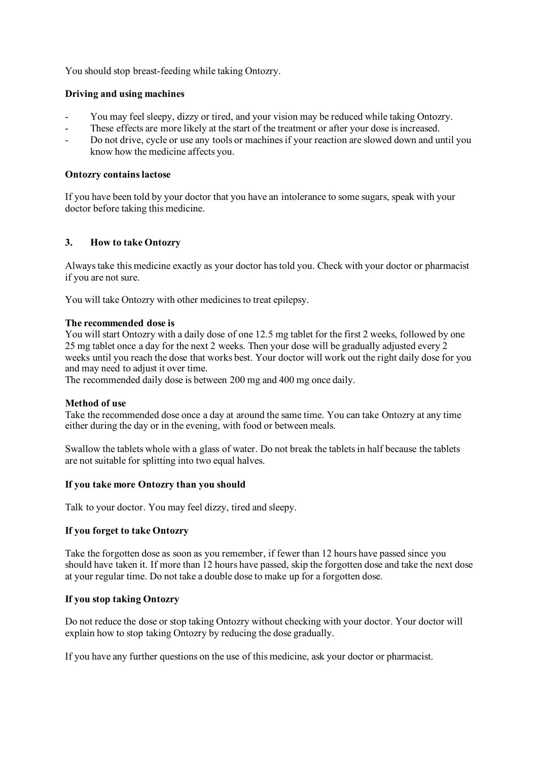You should stop breast-feeding while taking Ontozry.

## **Driving and using machines**

- You may feel sleepy, dizzy or tired, and your vision may be reduced while taking Ontozry.
- These effects are more likely at the start of the treatment or after your dose is increased.
- Do not drive, cycle or use any tools or machines if your reaction are slowed down and until you know how the medicine affects you.

#### **Ontozry contains lactose**

If you have been told by your doctor that you have an intolerance to some sugars, speak with your doctor before taking this medicine.

## **3. How to take Ontozry**

Always take this medicine exactly as your doctor has told you. Check with your doctor or pharmacist if you are not sure.

You will take Ontozry with other medicines to treat epilepsy.

#### **The recommended dose is**

You will start Ontozry with a daily dose of one 12.5 mg tablet for the first 2 weeks, followed by one 25 mg tablet once a day for the next 2 weeks. Then your dose will be gradually adjusted every 2 weeks until you reach the dose that works best. Your doctor will work out the right daily dose for you and may need to adjust it over time.

The recommended daily dose is between 200 mg and 400 mg once daily.

#### **Method of use**

Take the recommended dose once a day at around the same time. You can take Ontozry at any time either during the day or in the evening, with food or between meals.

Swallow the tablets whole with a glass of water. Do not break the tablets in half because the tablets are not suitable for splitting into two equal halves.

#### **If you take more Ontozry than you should**

Talk to your doctor. You may feel dizzy, tired and sleepy.

#### **If you forget to take Ontozry**

Take the forgotten dose as soon as you remember, if fewer than 12 hours have passed since you should have taken it. If more than 12 hours have passed, skip the forgotten dose and take the next dose at your regular time. Do not take a double dose to make up for a forgotten dose.

# **If you stop taking Ontozry**

Do not reduce the dose or stop taking Ontozry without checking with your doctor. Your doctor will explain how to stop taking Ontozry by reducing the dose gradually.

If you have any further questions on the use of this medicine, ask your doctor or pharmacist.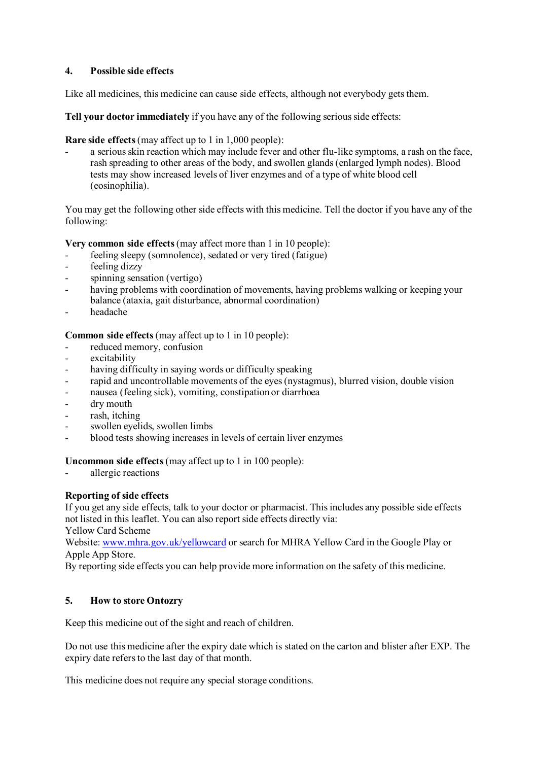# **4. Possible side effects**

Like all medicines, this medicine can cause side effects, although not everybody gets them.

**Tell your doctor immediately** if you have any of the following serious side effects:

**Rare side effects**(may affect up to 1 in 1,000 people):

a serious skin reaction which may include fever and other flu-like symptoms, a rash on the face, rash spreading to other areas of the body, and swollen glands (enlarged lymph nodes). Blood tests may show increased levels of liver enzymes and of a type of white blood cell (eosinophilia).

You may get the following other side effects with this medicine. Tell the doctor if you have any of the following:

**Very common side effects**(may affect more than 1 in 10 people):

- feeling sleepy (somnolence), sedated or very tired (fatigue)
- feeling dizzy
- spinning sensation (vertigo)
- having problems with coordination of movements, having problems walking or keeping your balance (ataxia, gait disturbance, abnormal coordination)
- headache

**Common side effects** (may affect up to 1 in 10 people):

- reduced memory, confusion
- excitability
- having difficulty in saying words or difficulty speaking
- rapid and uncontrollable movements of the eyes (nystagmus), blurred vision, double vision
- nausea (feeling sick), vomiting, constipation or diarrhoea
- dry mouth
- rash, itching
- swollen eyelids, swollen limbs
- blood tests showing increases in levels of certain liver enzymes

**Uncommon side effects**(may affect up to 1 in 100 people):

allergic reactions

# **Reporting of side effects**

If you get any side effects, talk to your doctor or pharmacist. This includes any possible side effects not listed in this leaflet. You can also report side effects directly via:

Yellow Card Scheme Website: [www.mhra.gov.uk/yellowcard](http://www.mhra.gov.uk/yellowcard) or search for MHRA Yellow Card in the Google Play or

Apple App Store.

By reporting side effects you can help provide more information on the safety of this medicine.

# **5. How to store Ontozry**

Keep this medicine out of the sight and reach of children.

Do not use this medicine after the expiry date which is stated on the carton and blister after EXP. The expiry date refers to the last day of that month.

This medicine does not require any special storage conditions.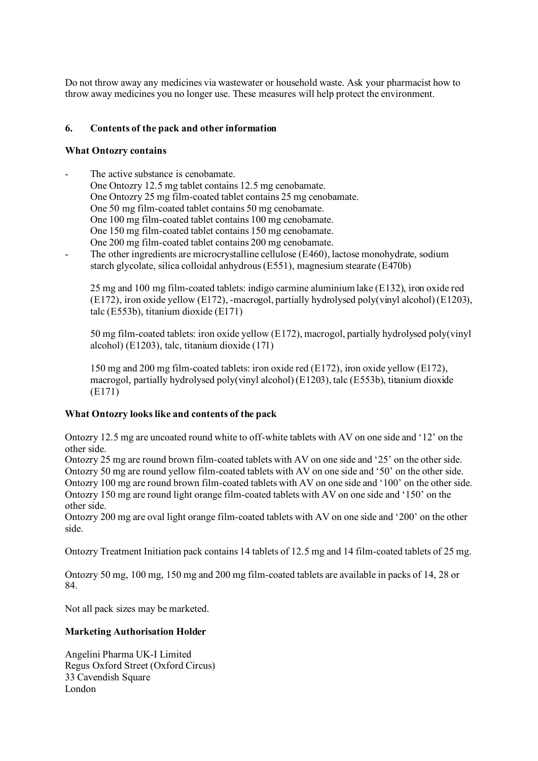Do not throw away any medicines via wastewater or household waste. Ask your pharmacist how to throw away medicines you no longer use. These measures will help protect the environment.

# **6. Contents of the pack and other information**

#### **What Ontozry contains**

The active substance is cenobamate. One Ontozry 12.5 mg tablet contains 12.5 mg cenobamate. One Ontozry 25 mg film-coated tablet contains 25 mg cenobamate. One 50 mg film-coated tablet contains 50 mg cenobamate. One 100 mg film-coated tablet contains 100 mg cenobamate. One 150 mg film-coated tablet contains 150 mg cenobamate. One 200 mg film-coated tablet contains 200 mg cenobamate. The other ingredients are microcrystalline cellulose (E460), lactose monohydrate, sodium starch glycolate, silica colloidal anhydrous (E551), magnesium stearate (E470b)

25 mg and 100 mg film-coated tablets: indigo carmine aluminium lake (E132), iron oxide red (E172), iron oxide yellow (E172), -macrogol, partially hydrolysed poly(vinyl alcohol) (E1203), talc (E553b), titanium dioxide (E171)

50 mg film-coated tablets: iron oxide yellow (E172), macrogol, partially hydrolysed poly(vinyl alcohol) (E1203), talc, titanium dioxide (171)

150 mg and 200 mg film-coated tablets: iron oxide red (E172), iron oxide yellow (E172), macrogol, partially hydrolysed poly(vinyl alcohol) (E1203), talc (E553b), titanium dioxide (E171)

# **What Ontozry looks like and contents of the pack**

Ontozry 12.5 mg are uncoated round white to off-white tablets with AV on one side and '12' on the other side.

Ontozry 25 mg are round brown film-coated tablets with AV on one side and '25' on the other side. Ontozry 50 mg are round yellow film-coated tablets with AV on one side and '50' on the other side. Ontozry 100 mg are round brown film-coated tablets with AV on one side and '100' on the other side. Ontozry 150 mg are round light orange film-coated tablets with AV on one side and '150' on the other side.

Ontozry 200 mg are oval light orange film-coated tablets with AV on one side and '200' on the other side.

Ontozry Treatment Initiation pack contains 14 tablets of 12.5 mg and 14 film-coated tablets of 25 mg.

Ontozry 50 mg, 100 mg, 150 mg and 200 mg film-coated tablets are available in packs of 14, 28 or 84.

Not all pack sizes may be marketed.

#### **Marketing Authorisation Holder**

Angelini Pharma UK-I Limited Regus Oxford Street (Oxford Circus) 33 Cavendish Square London